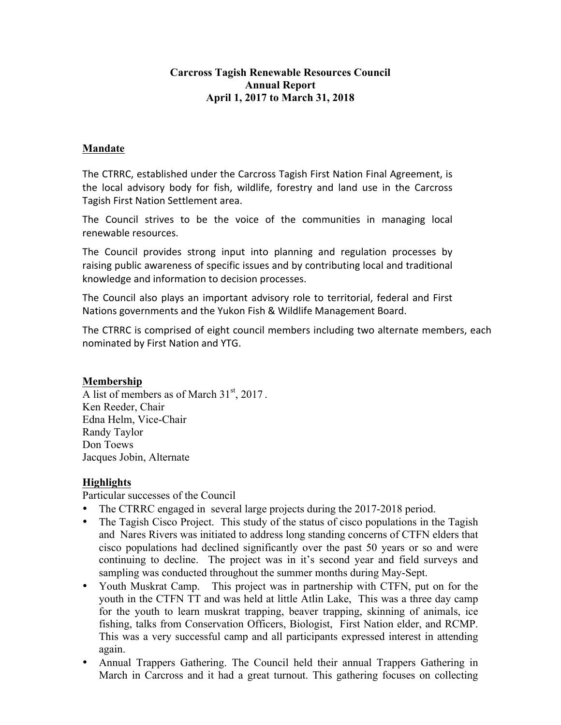#### **Carcross Tagish Renewable Resources Council Annual Report April 1, 2017 to March 31, 2018**

#### **Mandate**

The CTRRC, established under the Carcross Tagish First Nation Final Agreement, is the local advisory body for fish, wildlife, forestry and land use in the Carcross Tagish First Nation Settlement area.

The Council strives to be the voice of the communities in managing local renewable resources.

The Council provides strong input into planning and regulation processes by raising public awareness of specific issues and by contributing local and traditional knowledge and information to decision processes.

The Council also plays an important advisory role to territorial, federal and First Nations governments and the Yukon Fish & Wildlife Management Board.

The CTRRC is comprised of eight council members including two alternate members, each nominated by First Nation and YTG.

#### **Membership**

A list of members as of March  $31<sup>st</sup>$ , 2017. Ken Reeder, Chair Edna Helm, Vice-Chair Randy Taylor Don Toews Jacques Jobin, Alternate

#### **Highlights**

Particular successes of the Council

- The CTRRC engaged in several large projects during the 2017-2018 period.
- The Tagish Cisco Project. This study of the status of cisco populations in the Tagish and Nares Rivers was initiated to address long standing concerns of CTFN elders that cisco populations had declined significantly over the past 50 years or so and were continuing to decline. The project was in it's second year and field surveys and sampling was conducted throughout the summer months during May-Sept.
- Youth Muskrat Camp. This project was in partnership with CTFN, put on for the youth in the CTFN TT and was held at little Atlin Lake, This was a three day camp for the youth to learn muskrat trapping, beaver trapping, skinning of animals, ice fishing, talks from Conservation Officers, Biologist, First Nation elder, and RCMP. This was a very successful camp and all participants expressed interest in attending again.
- Annual Trappers Gathering. The Council held their annual Trappers Gathering in March in Carcross and it had a great turnout. This gathering focuses on collecting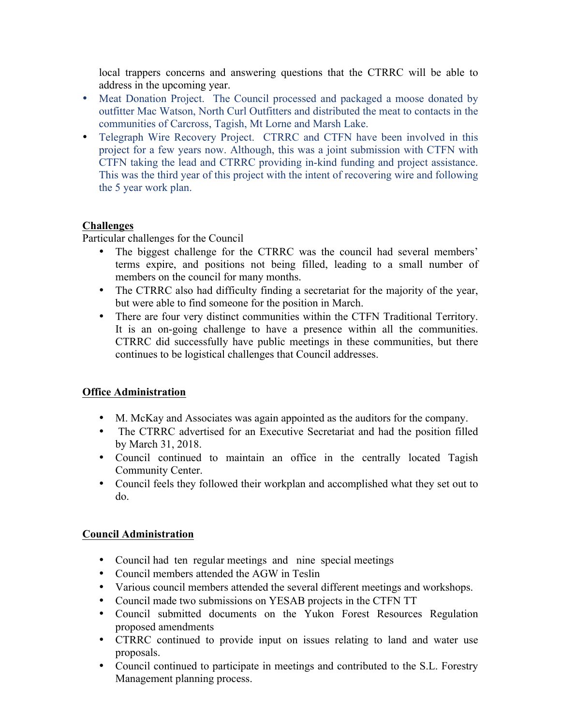local trappers concerns and answering questions that the CTRRC will be able to address in the upcoming year.

- Meat Donation Project. The Council processed and packaged a moose donated by outfitter Mac Watson, North Curl Outfitters and distributed the meat to contacts in the communities of Carcross, Tagish, Mt Lorne and Marsh Lake.
- Telegraph Wire Recovery Project. CTRRC and CTFN have been involved in this project for a few years now. Although, this was a joint submission with CTFN with CTFN taking the lead and CTRRC providing in-kind funding and project assistance. This was the third year of this project with the intent of recovering wire and following the 5 year work plan.

## **Challenges**

Particular challenges for the Council

- The biggest challenge for the CTRRC was the council had several members' terms expire, and positions not being filled, leading to a small number of members on the council for many months.
- The CTRRC also had difficulty finding a secretariat for the majority of the year, but were able to find someone for the position in March.
- There are four very distinct communities within the CTFN Traditional Territory. It is an on-going challenge to have a presence within all the communities. CTRRC did successfully have public meetings in these communities, but there continues to be logistical challenges that Council addresses.

# **Office Administration**

- M. McKay and Associates was again appointed as the auditors for the company.
- The CTRRC advertised for an Executive Secretariat and had the position filled by March 31, 2018.
- Council continued to maintain an office in the centrally located Tagish Community Center.
- Council feels they followed their workplan and accomplished what they set out to do.

#### **Council Administration**

- Council had ten regular meetings and nine special meetings
- Council members attended the AGW in Teslin
- Various council members attended the several different meetings and workshops.
- Council made two submissions on YESAB projects in the CTFN TT
- Council submitted documents on the Yukon Forest Resources Regulation proposed amendments
- CTRRC continued to provide input on issues relating to land and water use proposals.
- Council continued to participate in meetings and contributed to the S.L. Forestry Management planning process.